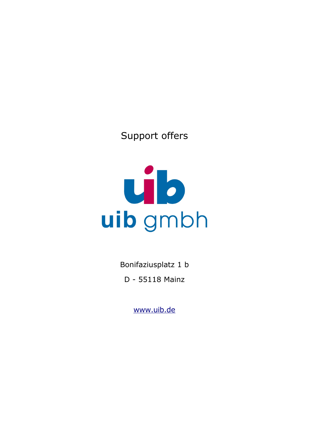# Support offers

# ub uib gmbh

Bonifaziusplatz 1 b D - 55118 Mainz

[www.uib.de](http://www.uib.de/)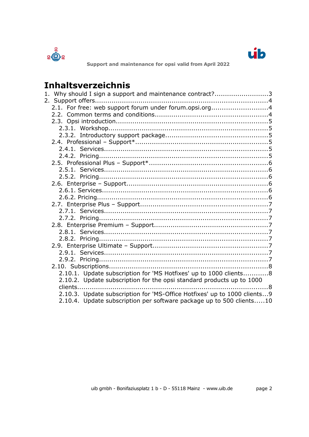



# **Inhaltsverzeichnis**

| 1. Why should I sign a support and maintenance contract?3                |  |
|--------------------------------------------------------------------------|--|
|                                                                          |  |
| 2.1. For free: web support forum under forum.opsi.org4                   |  |
|                                                                          |  |
|                                                                          |  |
|                                                                          |  |
|                                                                          |  |
|                                                                          |  |
|                                                                          |  |
|                                                                          |  |
|                                                                          |  |
|                                                                          |  |
|                                                                          |  |
|                                                                          |  |
|                                                                          |  |
|                                                                          |  |
|                                                                          |  |
|                                                                          |  |
|                                                                          |  |
|                                                                          |  |
|                                                                          |  |
|                                                                          |  |
|                                                                          |  |
|                                                                          |  |
|                                                                          |  |
|                                                                          |  |
| 2.10.1. Update subscription for 'MS Hotfixes' up to 1000 clients8        |  |
| 2.10.2. Update subscription for the opsi standard products up to 1000    |  |
| clients<br>. 8                                                           |  |
| 2.10.3. Update subscription for 'MS-Office Hotfixes' up to 1000 clients9 |  |
| 2.10.4. Update subscription per software package up to 500 clients10     |  |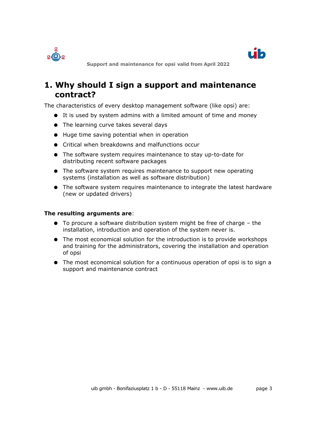



# <span id="page-2-0"></span>**1. Why should I sign a support and maintenance contract?**

The characteristics of every desktop management software (like opsi) are:

- It is used by system admins with a limited amount of time and money
- The learning curve takes several days
- Huge time saving potential when in operation
- Critical when breakdowns and malfunctions occur
- The software system requires maintenance to stay up-to-date for distributing recent software packages
- The software system requires maintenance to support new operating systems (installation as well as software distribution)
- The software system requires maintenance to integrate the latest hardware (new or updated drivers)

#### **The resulting arguments are**:

- To procure a software distribution system might be free of charge the installation, introduction and operation of the system never is.
- The most economical solution for the introduction is to provide workshops and training for the administrators, covering the installation and operation of opsi
- The most economical solution for a continuous operation of opsi is to sign a support and maintenance contract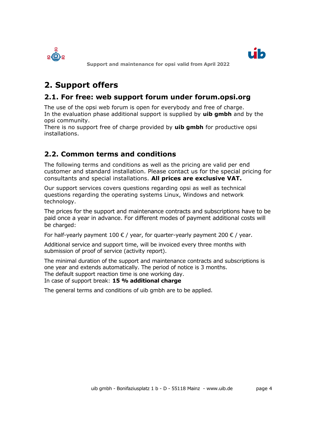



# <span id="page-3-2"></span>**2. Support offers**

# <span id="page-3-1"></span>**2.1. For free: web support forum under forum.opsi.org**

The use of the opsi web forum is open for everybody and free of charge. In the evaluation phase additional support is supplied by **uib gmbh** and by the opsi community.

There is no support free of charge provided by **uib gmbh** for productive opsi installations.

# <span id="page-3-0"></span>**2.2. Common terms and conditions**

The following terms and conditions as well as the pricing are valid per end customer and standard installation. Please contact us for the special pricing for consultants and special installations. **All prices are exclusive VAT.**

Our support services covers questions regarding opsi as well as technical questions regarding the operating systems Linux, Windows and network technology.

The prices for the support and maintenance contracts and subscriptions have to be paid once a year in advance. For different modes of payment additional costs will be charged:

For half-yearly payment 100  $\epsilon$  / year, for quarter-yearly payment 200  $\epsilon$  / year.

Additional service and support time, will be invoiced every three months with submission of proof of service (activity report).

The minimal duration of the support and maintenance contracts and subscriptions is one year and extends automatically. The period of notice is 3 months. The default support reaction time is one working day.

In case of support break: **15 % additional charge**

The general terms and conditions of uib gmbh are to be applied.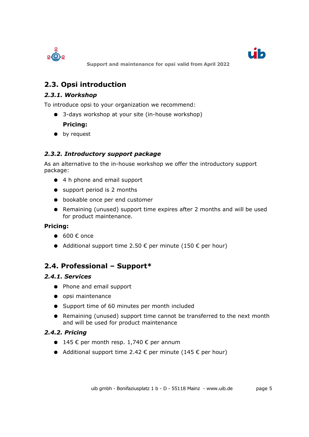



# <span id="page-4-5"></span>**2.3. Opsi introduction**

# <span id="page-4-4"></span>*2.3.1. Workshop*

To introduce opsi to your organization we recommend:

● 3-days workshop at your site (in-house workshop)

### **Pricing:**

● by request

### <span id="page-4-3"></span>*2.3.2. Introductory support package*

As an alternative to the in-house workshop we offer the introductory support package:

- 4 h phone and email support
- support period is 2 months
- bookable once per end customer
- Remaining (unused) support time expires after 2 months and will be used for product maintenance.

### **Pricing:**

- $\bullet$  600 € once
- Additional support time 2.50  $\epsilon$  per minute (150  $\epsilon$  per hour)

# <span id="page-4-2"></span>**2.4. Professional – Support\***

### *2.4.1. Services*

- <span id="page-4-1"></span>● Phone and email support
- opsi maintenance
- Support time of 60 minutes per month included
- Remaining (unused) support time cannot be transferred to the next month and will be used for product maintenance

### *2.4.2. Pricing*

- <span id="page-4-0"></span>● 145  $\epsilon$  per month resp. 1,740  $\epsilon$  per annum
- Additional support time 2.42  $\epsilon$  per minute (145  $\epsilon$  per hour)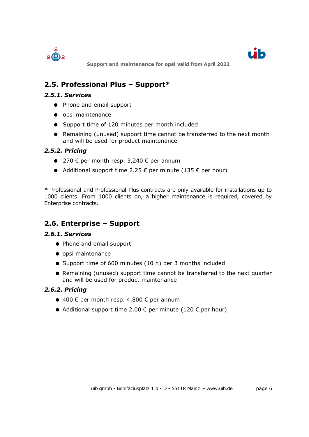



# <span id="page-5-5"></span>**2.5. Professional Plus – Support\***

#### *2.5.1. Services*

- <span id="page-5-4"></span>● Phone and email support
- opsi maintenance
- Support time of 120 minutes per month included
- Remaining (unused) support time cannot be transferred to the next month and will be used for product maintenance

### *2.5.2. Pricing*

- <span id="page-5-3"></span>● 270  $\epsilon$  per month resp. 3,240  $\epsilon$  per annum
- Additional support time 2.25  $\epsilon$  per minute (135  $\epsilon$  per hour)

**\*** Professional and Professional Plus contracts are only available for installations up to 1000 clients. From 1000 clients on, a higher maintenance is required, covered by Enterprise contracts.

# <span id="page-5-2"></span>**2.6. Enterprise – Support**

#### <span id="page-5-1"></span>*2.6.1. Services*

- Phone and email support
- opsi maintenance
- Support time of 600 minutes (10 h) per 3 months included
- Remaining (unused) support time cannot be transferred to the next quarter and will be used for product maintenance

### <span id="page-5-0"></span>*2.6.2. Pricing*

- 400  $\epsilon$  per month resp. 4,800  $\epsilon$  per annum
- Additional support time 2.00  $\epsilon$  per minute (120  $\epsilon$  per hour)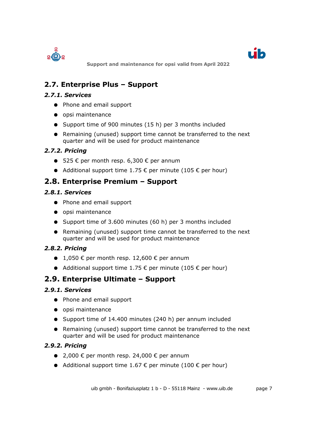



# <span id="page-6-8"></span>**2.7. Enterprise Plus – Support**

### *2.7.1. Services*

- <span id="page-6-7"></span>● Phone and email support
- opsi maintenance
- Support time of 900 minutes (15 h) per 3 months included
- Remaining (unused) support time cannot be transferred to the next quarter and will be used for product maintenance

# *2.7.2. Pricing*

- <span id="page-6-6"></span>■ 525  $\epsilon$  per month resp. 6,300  $\epsilon$  per annum
- <span id="page-6-5"></span>● Additional support time 1.75  $\epsilon$  per minute (105  $\epsilon$  per hour)

# **2.8. Enterprise Premium – Support**

# *2.8.1. Services*

- <span id="page-6-4"></span>● Phone and email support
- opsi maintenance
- Support time of 3.600 minutes (60 h) per 3 months included
- Remaining (unused) support time cannot be transferred to the next quarter and will be used for product maintenance

# *2.8.2. Pricing*

- <span id="page-6-3"></span> $\bullet$  1,050 € per month resp. 12,600 € per annum
- <span id="page-6-2"></span>● Additional support time 1.75  $\epsilon$  per minute (105  $\epsilon$  per hour)

# **2.9. Enterprise Ultimate – Support**

### *2.9.1. Services*

- <span id="page-6-1"></span>● Phone and email support
- opsi maintenance
- Support time of 14.400 minutes (240 h) per annum included
- Remaining (unused) support time cannot be transferred to the next quarter and will be used for product maintenance

# *2.9.2. Pricing*

- <span id="page-6-0"></span> $\bullet$  2,000 € per month resp. 24,000 € per annum
- Additional support time 1.67  $\epsilon$  per minute (100  $\epsilon$  per hour)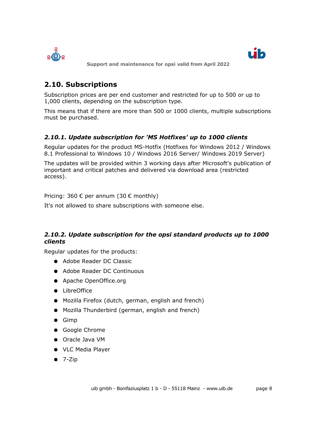



# <span id="page-7-2"></span>**2.10. Subscriptions**

Subscription prices are per end customer and restricted for up to 500 or up to 1,000 clients, depending on the subscription type.

This means that if there are more than 500 or 1000 clients, multiple subscriptions must be purchased.

# <span id="page-7-1"></span>*2.10.1. Update subscription for 'MS Hotfixes' up to 1000 clients*

Regular updates for the product MS-Hotfix (Hotfixes for Windows 2012 / Windows 8.1 Professional to Windows 10 / Windows 2016 Server/ Windows 2019 Server)

The updates will be provided within 3 working days after Microsoft's publication of important and critical patches and delivered via download area (restricted access).

Pricing: 360 € per annum (30 € monthly)

It's not allowed to share subscriptions with someone else.

# <span id="page-7-0"></span>*2.10.2. Update subscription for the opsi standard products up to 1000 clients*

Regular updates for the products:

- Adobe Reader DC Classic
- Adobe Reader DC Continuous
- Apache OpenOffice.org
- LibreOffice
- Mozilla Firefox (dutch, german, english and french)
- Mozilla Thunderbird (german, english and french)
- Gimp
- Google Chrome
- Oracle Java VM
- VLC Media Player
- $\bullet$  7-Zip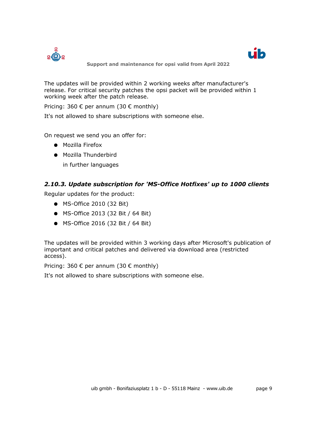



The updates will be provided within 2 working weeks after manufacturer's release. For critical security patches the opsi packet will be provided within 1 working week after the patch release.

Pricing: 360  $\epsilon$  per annum (30  $\epsilon$  monthly)

It's not allowed to share subscriptions with someone else.

On request we send you an offer for:

- Mozilla Firefox
- Mozilla Thunderbird in further languages

#### <span id="page-8-0"></span>*2.10.3. Update subscription for 'MS-Office Hotfixes' up to 1000 clients*

Regular updates for the product:

- MS-Office 2010 (32 Bit)
- MS-Office 2013 (32 Bit / 64 Bit)
- MS-Office 2016 (32 Bit / 64 Bit)

The updates will be provided within 3 working days after Microsoft's publication of important and critical patches and delivered via download area (restricted access).

Pricing: 360  $\epsilon$  per annum (30  $\epsilon$  monthly)

It's not allowed to share subscriptions with someone else.